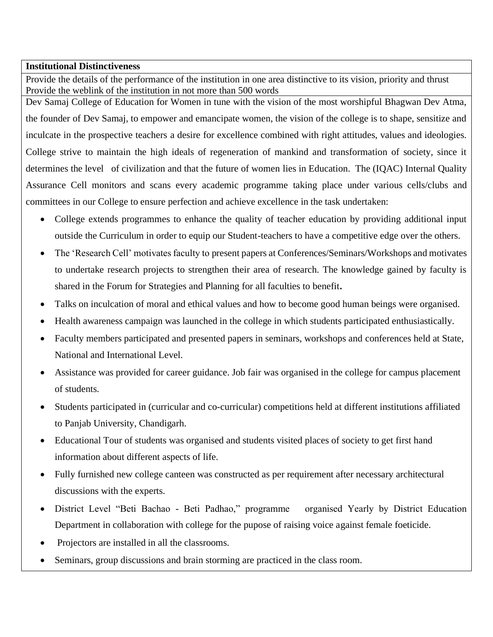## **Institutional Distinctiveness**

Provide the details of the performance of the institution in one area distinctive to its vision, priority and thrust Provide the weblink of the institution in not more than 500 words

Dev Samaj College of Education for Women in tune with the vision of the most worshipful Bhagwan Dev Atma, the founder of Dev Samaj, to empower and emancipate women, the vision of the college is to shape, sensitize and inculcate in the prospective teachers a desire for excellence combined with right attitudes, values and ideologies. College strive to maintain the high ideals of regeneration of mankind and transformation of society, since it determines the level of civilization and that the future of women lies in Education. The (IQAC) Internal Quality Assurance Cell monitors and scans every academic programme taking place under various cells/clubs and committees in our College to ensure perfection and achieve excellence in the task undertaken:

- College extends programmes to enhance the quality of teacher education by providing additional input outside the Curriculum in order to equip our Student-teachers to have a competitive edge over the others.
- The 'Research Cell' motivates faculty to present papers at Conferences/Seminars/Workshops and motivates to undertake research projects to strengthen their area of research. The knowledge gained by faculty is shared in the Forum for Strategies and Planning for all faculties to benefit**.**
- Talks on inculcation of moral and ethical values and how to become good human beings were organised.
- Health awareness campaign was launched in the college in which students participated enthusiastically.
- Faculty members participated and presented papers in seminars, workshops and conferences held at State, National and International Level.
- Assistance was provided for career guidance. Job fair was organised in the college for campus placement of students.
- Students participated in (curricular and co-curricular) competitions held at different institutions affiliated to Panjab University, Chandigarh.
- Educational Tour of students was organised and students visited places of society to get first hand information about different aspects of life.
- Fully furnished new college canteen was constructed as per requirement after necessary architectural discussions with the experts.
- District Level "Beti Bachao Beti Padhao," programme organised Yearly by District Education Department in collaboration with college for the pupose of raising voice against female foeticide.
- Projectors are installed in all the classrooms.
- Seminars, group discussions and brain storming are practiced in the class room.